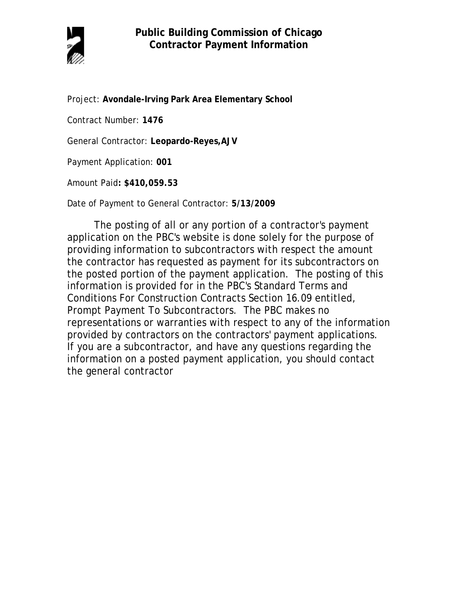

Project: **Avondale-Irving Park Area Elementary School**

Contract Number: **1476**

General Contractor: **Leopardo-Reyes,AJV**

Payment Application: **001**

Amount Paid**: \$410,059.53** 

Date of Payment to General Contractor: **5/13/2009**

The posting of all or any portion of a contractor's payment application on the PBC's website is done solely for the purpose of providing information to subcontractors with respect the amount the contractor has requested as payment for its subcontractors on the posted portion of the payment application. The posting of this information is provided for in the PBC's Standard Terms and Conditions For Construction Contracts Section 16.09 entitled, Prompt Payment To Subcontractors. The PBC makes no representations or warranties with respect to any of the information provided by contractors on the contractors' payment applications. If you are a subcontractor, and have any questions regarding the information on a posted payment application, you should contact the general contractor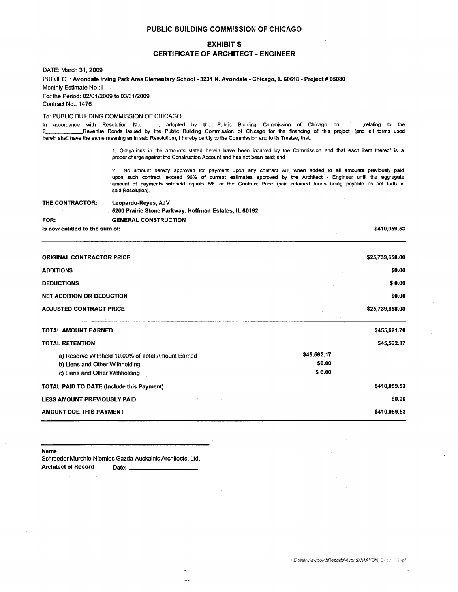### EXHIBIT S

### CERTIFICATE OF ARCHITECT - ENGINEER

DATE: March 31. 2009

PROJECT: Avondale Irving Park Area Elementary School- 3231 N. Avondale - Chicago, IL 60618 - Project # 05080 Monthly Estimate No.:1

For the Period: 02101/2009 to 03/31/2009

Contract No.: 1476

### To: PUBLIC BUILDING COMMISSION OF CHICAGO

In accordance with Resolution No. \_\_\_\_\_, adopted by the Public Building Commission of Chicago on \_\_\_\_\_\_\_, relating to the<br>S Revenue Bonds issued by the Public Building Commission of Chicago for the financing of this projec Revenue Bonds issued by the Public Building Commission of Chicago for the financing of this project (and all terms used herein shall have the same meaning as in said Resolution), I hereby certify to the Commission and to its Trustee, that:

> 1. Obligations in the amounts stated herein have been incurred by the Commission and that each item thereof is a proper charge against the Construction Account and has not been paid; and

> 2. No amount hereby approved for payment upon any contract will, when added to all amounts previously paid upon such contract, exceed 90% of current estimates approved by the Architect - Engineer until the aggregate amount of payments withheld equals 5% of the Contract Price (said retained funds being payable as set forth in said Resolution).

| THE CONTRACTOR:                | Leopardo-Reyes, AJV<br>5200 Prairie Stone Parkway. Hoffman Estates, IL 60192 |  |  |  |  |  |
|--------------------------------|------------------------------------------------------------------------------|--|--|--|--|--|
| FOR:                           | <b>GENERAL CONSTRUCTION</b>                                                  |  |  |  |  |  |
| Is now entitled to the sum of: |                                                                              |  |  |  |  |  |

\$410,059.53

| <b>ORIGINAL CONTRACTOR PRICE</b>                                                                                      | \$25,739,658.00                 |
|-----------------------------------------------------------------------------------------------------------------------|---------------------------------|
| <b>ADDITIONS</b>                                                                                                      | \$0.00                          |
| <b>DEDUCTIONS</b>                                                                                                     | \$0.00                          |
| <b>NET ADDITION OR DEDUCTION</b>                                                                                      | \$0.00                          |
| <b>ADJUSTED CONTRACT PRICE</b>                                                                                        | \$25,739,658.00                 |
| <b>TOTAL AMOUNT EARNED</b>                                                                                            | \$455,621.70                    |
| <b>TOTAL RETENTION</b>                                                                                                | \$45,562.17                     |
| a) Reserve Withheld 10.00% of Total Amount Earned<br>b) Liens and Other Withholding<br>c) Liens and Other Withholding | \$45,562.17<br>\$0.00<br>\$0.00 |
| <b>TOTAL PAID TO DATE (Include this Payment)</b>                                                                      | \$410,059.53                    |
| <b>LESS AMOUNT PREVIOUSLY PAID</b>                                                                                    | \$0.00                          |
| AMOUNT DUE THIS PAYMENT                                                                                               | \$410,059.53                    |

Name

Schroeder Murchie Niemiec Gazda-Auskalnis Architects, Ltd.<br>Architect of Record Date: \_\_\_\_\_\_\_\_\_\_\_\_\_\_\_\_\_\_\_\_\_\_\_\_\_\_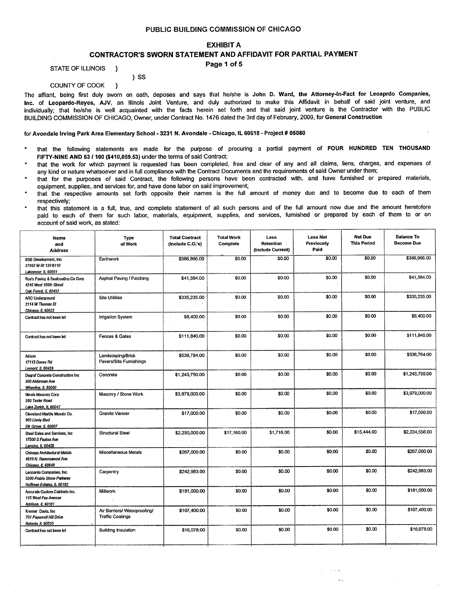### **EXHIBIT A**

### CONTRACTOR'S SWORN STATEMENT AND AFFIDAVIT FOR PARTIAL PAYMENT

Page 1 of 5

STATE OF ILLINOIS  $\rightarrow$ 

### $\}$  SS

#### COUNTY OF COOK  $\mathbf{I}$

The affiant, being first duly sworn on oath, deposes and says that he/she is John D. Ward, the Attorney-In-Fact for Leoaprdo Companies, Inc. of Leopardo-Reyes, AJV, an Illinois Joint Venture, and duly authorized to make this Affidavit in behalf of said joint venture, and individually; that he/she is well acquainted with the facts herein set forth and that said joint venture is the Contractor with the PUBLIC BUILDING COMMISSION OF CHICAGO, Owner, under Contract No. 1476 dated the 3rd day of February, 2009, for General Construction

### for Avondale Irving Park Area Elementary School - 3231 N. Avondale - Chicago, IL 60618 - Project # 05080

- that the following statements are made for the purpose of procuring a partial payment of FOUR HUNDRED TEN THOUSAND FIFTY-NINE AND 53 / 100 (\$410,059.53) under the terms of said Contract;
- that the work for which payment is requested has been completed, free and clear of any and all claims, liens, charges, and expenses of any kind or nature whatsoever and in full compliance with the Contract Documents and the requirements of said Owner under them;
- that for the purposes of said Contract, the following persons have been contracted with, and have furnished or prepared materials, equipment, supplies, and services for, and have done labor on said improvement;
- that the respective amounts set forth opposite their names is the full amount of money due and to become due to each of them respectively;
- that this statement is a full, true, and complete statement of all such persons and of the full amount now due and the amount heretofore paid to each of them for such labor, materials, equipment, supplies, and services, fumished or prepared by each of them to or on account of said work, as stated:

| Name<br>and<br><b>Address</b>                                                        | Type<br>of Work                                         | <b>Total Contract</b><br>(Include C.O.'s) | <b>Total Work</b><br>Complete | Less<br>Retention<br>(Include Current) | <b>Less Net</b><br>Previously<br>Paid | <b>Net Due</b><br><b>This Period</b> | <b>Balance To</b><br><b>Become Due</b> |
|--------------------------------------------------------------------------------------|---------------------------------------------------------|-------------------------------------------|-------------------------------|----------------------------------------|---------------------------------------|--------------------------------------|----------------------------------------|
| <b>BSB Development, Inc.</b><br>27992 W Rt 120 #110<br>Lakemoor, IL 60051            | Earthwork                                               | \$386,966.00                              | \$0.00                        | \$0.00                                 | \$0.00                                | \$0.00                               | \$386,966.00                           |
| Roy's Paving & Sealcoating Co Corp<br>4240 West 166th Street<br>Oak Forest, IL 60452 | Asphat Paving / Patching                                | \$41,384.00                               | \$0.00                        | \$0.00                                 | \$0.00                                | \$0,00                               | \$41,384.00                            |
| <b>ARC Underground</b><br>2114 W Thomas St<br>Chicago, IL 60622                      | <b>Site Utilities</b>                                   | \$335,235.00                              | \$0.00                        | \$0.00                                 | \$0.00                                | \$0.00                               | \$335,235.00                           |
| Contract has not been let                                                            | Irrigation System                                       | \$8,400.00                                | \$0.00                        | \$0.00                                 | \$0.00                                | \$0.00                               | \$8,400.00                             |
| Contract has not been let                                                            | Fences & Gates                                          | \$111.840.00                              | \$0.00                        | \$0.00                                 | \$0.00                                | \$0.00                               | \$111,840.00                           |
| Atrium<br>17113 Davey Rd<br>Lemont, IL 60439                                         | Landscaping/Brick<br>Pavers/Site Furnishings            | \$538,784.00                              | \$0.00                        | \$0.00                                 | \$0.00                                | \$0.00                               | \$538,784.00                           |
| Degraf Concrete Construction Inc<br>300 Alderman Ave<br><b>Wheeling, IL 60090</b>    | Concrete                                                | \$1,243,750.00                            | \$0.00                        | \$0.00                                 | \$0.00                                | \$0.00                               | \$1,243,750.00                         |
| Illinois Masonry Corp<br>200 Tesler Road<br>Lake Zurich, IL 60047                    | Masonry / Stone Work                                    | \$3,979,000.00                            | \$0.00                        | \$0.00                                 | \$0,00                                | \$0.00                               | \$3,979,000.00                         |
| Cleveland Marble Mosaic Co.<br>965 Lively Blvd<br>Elk Grove, IL 60007                | Granite Vaneer                                          | \$17,000.00                               | \$0.00                        | \$0.00                                 | \$0.00                                | \$0.00                               | \$17,000.00                            |
| Steel Sales and Services, Inc.<br>17500 S Paxton Ave<br>Lansing, IL 60438            | <b>Structural Steel</b>                                 | \$2,250,000.00                            | \$17,160.00                   | \$1,716.00                             | \$0.00                                | \$15,444.00                          | \$2,234,556.00                         |
| Chicago Architectural Metals<br>4619 N. Ravenswood Ave.<br>Chicago, IL 60540         | Miscellaneous Metals                                    | \$267,000.00                              | \$0.00                        | \$0.00                                 | \$0.00                                | \$0.00                               | \$267,000.00                           |
| Leopardo Companies, Inc.<br>5200 Prairie Stone Parkway<br>Hoffman Estates, IL 60192  | Carpentry                                               | \$242,983.00                              | \$0.00                        | \$0.00                                 | \$0.00                                | \$0.00                               | \$242,983.00                           |
| Accurate Custom Cabinets Inc.<br>115 West Fay Avenue<br>Addison, IL 60101            | Millwork                                                | \$181,000.00                              | \$0.00                        | \$0.00                                 | \$0.00                                | \$0.00                               | \$181,000.00                           |
| Kremer Davis, Inc.<br>701 Papermill Hill Drive<br>Batavia, IL 60510                  | Air Barriers/ Waterproofing/<br><b>Traffic Coatings</b> | \$107,400.00                              | \$0.00                        | \$0.00                                 | \$0.00                                | \$0.00                               | \$107,400.00                           |
| Contract has not been let                                                            | <b>Building Insulation</b>                              | \$16,078.00                               | \$0.00                        | \$0.00                                 | \$0.00                                | \$0.00                               | \$16,078.00                            |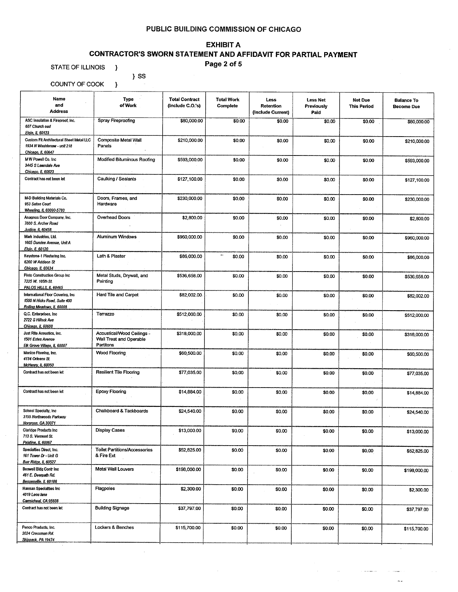# **EXHIBIT A**

# CONTRACTOR'S SWORN STATEMENT AND AFFIDAVIT FOR PARTIAL PAYMENT

Page 2 of 5

STATE OF ILLINOIS }

COUNTY OF COOK

 $\}$  SS  $\overline{\phantom{a}}$ 

| Name<br>and<br><b>Address</b>                                                                   | Type<br>of Work                                                    | <b>Total Contract</b><br>(Include C.O.'s) | <b>Total Work</b><br>Complete | Less<br>Retention<br>(Include Current) | <b>Less Net</b><br>Previously<br>Paid | Net Due<br><b>This Period</b> | <b>Balance To</b><br><b>Become Due</b> |
|-------------------------------------------------------------------------------------------------|--------------------------------------------------------------------|-------------------------------------------|-------------------------------|----------------------------------------|---------------------------------------|-------------------------------|----------------------------------------|
| ASC Insulation & Fireproof, Inc.<br>607 Church oad<br>Elain, IL 60123                           | Spray Fireproofing                                                 | \$80,000.00                               | \$0.00                        | \$0.00                                 | \$0.00                                | \$0.00                        | \$80,000,00                            |
| Custom Fit Architectural Sheet Metal LLC<br>1934 N Washtenaw - unit 218<br>Chicago, IL 60647    | Composite Metal Wall<br>Panels                                     | \$210,000.00                              | \$0.00                        | \$0.00                                 | \$0.00                                | \$0.00                        | \$210,000.00                           |
| MW Powell Co, Inc.<br>3445 S Lawndale Ave<br>Chicago, IL 60623                                  | Modified Bituminous Roofing                                        | \$593,000.00                              | \$0.00                        | \$0.00                                 | \$0.00                                | \$0.00                        | \$593,000.00                           |
| Contract has not been let                                                                       | Caulking / Sealants                                                | \$127,100.00                              | \$0.00                        | \$0.00                                 | \$0.00                                | \$0.00                        | \$127,100.00                           |
| M-D Building Materials Co.<br>953 Seton Court<br>Wheeling, IL 60090-5793                        | Doors, Frames, and<br>Hardware                                     | \$230,000.00                              | \$0.00                        | \$0.00                                 | \$0.00                                | \$0.00                        | \$230,000.00                           |
| Anagnos Door Company, Inc.<br>7600 S. Archer Road<br>lustice, IL 60458                          | Overhead Doors                                                     | \$2,800.00                                | \$0.00                        | \$0.00                                 | \$0.00                                | \$0.00                        | \$2,800.00                             |
| Mark Industries, Ltd.<br>1605 Dundee Avenue, Unit A<br>Elgin, IL 60120                          | Aluminum Windows                                                   | \$960,000.00                              | \$0.00                        | \$0.00                                 | \$0.00                                | \$0.00                        | \$960,000.00                           |
| Keystone-1 Plastering Inc.<br>6260 W Addison St<br>Chicago, IL 60634                            | Lath & Plaster                                                     | \$86,000.00                               | $\rightarrow$<br>\$0.00       | \$0.00                                 | \$0.00                                | \$0.00                        | \$86,000.00                            |
| Pinto Construction Group Inc.<br>7225 W. 105th St.<br><u>PALOS HILLS, IL 60465</u>              | Metal Studs, Drywall, and<br>Painting                              | \$536,658.00                              | \$0.00                        | \$0.00                                 | \$0.00                                | \$0.00                        | \$536,658.00                           |
| International Floor Covering, Inc.<br>1500 N Hicks Road, Suite 400<br>Rolling Meadows, IL 60008 | Hard Tile and Carpet                                               | \$82,002.00                               | \$0.00                        | \$0.00                                 | \$0.00                                | \$0.00                        | \$82,002.00                            |
| Q.C. Enterprises, Inc.<br>2722 S Hillock Ave<br>Chicago, IL 60608                               | Terrazzo                                                           | \$512,000.00                              | \$0.00                        | \$0,00                                 | \$0.00                                | \$0.00                        | \$512,000.00                           |
| Just Rite Acoustics, Inc.<br>1501 Estes Avenue<br>Elk Grove Village, IL 60007                   | Acoustical/Wood Ceilings -<br>Wall Treat and Operable<br>Partitons | \$318,000.00                              | \$0.00                        | \$0.00                                 | \$0.00                                | \$0.00                        | \$318,000.00                           |
| Manico Flooring, Inc.<br>4134 Orleans St.<br>McHenry, IL 60050                                  | <b>Wood Flooring</b>                                               | \$60,500.00                               | \$0.00                        | \$0.00                                 | \$0.00                                | \$0.00                        | \$60,500.00                            |
| Contract has not been let                                                                       | <b>Resilient Tile Flooring</b>                                     | \$77,035.00                               | \$0.00                        | \$0.00                                 | \$0.00                                | \$0.00                        | \$77,035,00                            |
| Contract has not been let                                                                       | <b>Epoxy Flooring</b>                                              | \$14,884.00                               | \$0.00                        | \$0.00                                 | \$0.00                                | \$0.00                        | \$14,884.00                            |
| School Specialty, Inc.<br>3155 Northwoods Parkway<br>Norcross, GA 30071                         | Chalkboard & Tackboards                                            | \$24,540.00                               | \$0.00                        | \$0.00                                 | \$0.00                                | \$0.00                        | \$24,540.00                            |
| Claridge Products Inc<br>713 S. Vermont St.<br>Palatine, IL 60067                               | <b>Display Cases</b>                                               | \$13,000.00                               | \$0.00                        | \$0.00                                 | \$0.00                                | \$0.00                        | \$13,000.00                            |
| Specialties Direct, Inc.<br>161 Tower Dr - Unit G<br>Burr Ridge, IL 60527                       | <b>Toilet Partitions/Accessories</b><br>& Fire Ext                 | \$52,825.00                               | \$0.00                        | \$0.00                                 | \$0.00                                | \$0.00                        | \$52,825.00                            |
| Boswell Bldg Contr Inc<br>461 E. Deerpath Rd.<br>Bensenville, IL 60106                          | Metal Wall Louvers                                                 | \$198,000.00                              | \$0.00                        | \$0.00                                 | \$0.00                                | \$0.00                        | \$198,000.00                           |
| Hannan Specialities Inc<br>4019 Leos lane<br>Carmicheal, CA 95608                               | Flagpoles                                                          | \$2,300.00                                | \$0.00                        | \$0.00                                 | \$0.00                                | \$0.00                        | \$2,300.00                             |
| Contract has not been let                                                                       | <b>Building Signage</b>                                            | \$37,797.00                               | \$0.00                        | \$0.00                                 | \$0.00                                | \$0.00                        | \$37,797.00                            |
| Penco Products, Inc.<br>2024 Cressman Rd.<br>Skippack, PA 19474                                 | Lockers & Benches                                                  | \$115,700.00                              | \$0.00                        | \$0.00                                 | \$0.00                                | \$0.00                        | \$115,700.00                           |
|                                                                                                 |                                                                    |                                           |                               |                                        |                                       |                               |                                        |

u,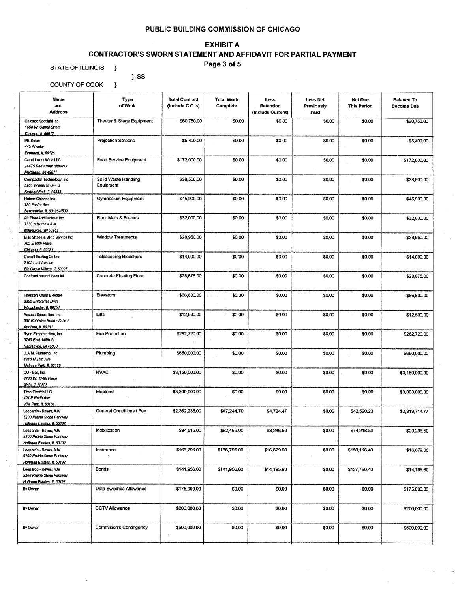# **EXHIBIT A**

# **CONTRACTOR'S SWORN STATEMENT AND AFFIDAVIT FOR PARTIAL PAYMENT**

Page 3 of 5

STATE OF ILLINOIS }

 $\}$  SS

| COUNTY OF COOK<br>}                                                              |                                   |                                           |                               |                                        |                                       |                               |                                        |
|----------------------------------------------------------------------------------|-----------------------------------|-------------------------------------------|-------------------------------|----------------------------------------|---------------------------------------|-------------------------------|----------------------------------------|
| Name<br>and<br><b>Address</b>                                                    | Type<br>of Work                   | <b>Total Contract</b><br>(Include C.O.'s) | <b>Total Work</b><br>Complete | Less<br>Retention<br>(Include Current) | <b>Less Net</b><br>Previously<br>Paid | Net Due<br><b>This Period</b> | <b>Balance To</b><br><b>Become Due</b> |
| Chicago Spotlight Inc<br>1658 W. Carroll Street<br>Chicago, IL 60612             | Theater & Stage Equipment         | \$60,750.00                               | \$0.00                        | \$0.00                                 | \$0.00                                | \$0.00                        | \$60,750,00                            |
| PB Sales<br>445 Atwater<br>Elmhurst, IL 60126                                    | <b>Projection Screens</b>         | \$5,400.00                                | \$0.00                        | \$0.00                                 | \$0.00                                | \$0.00                        | \$5,400.00                             |
| Great Lakes West LLC<br>24475 Red Arrow Highway<br><b>Mattawan, Mi 49071</b>     | Food Service Equipment            | \$172,000.00                              | \$0.00                        | \$0.00                                 | \$0.00                                | \$0.00                        | \$172,000.00                           |
| Compactor Technology, Inc.<br>5901 W 66th St Unit B<br>Bedford Park, IL 60638    | Solid Waste Handling<br>Equipment | \$38,500.00                               | \$0.00                        | \$0.00                                 | \$0.00                                | \$0,00                        | \$38,500.00                            |
| Hufcor-Chicago Inc<br>730 Foster Ave<br>Bensenville, IL 60106-1509               | <b>Gymnasium Equipment</b>        | \$45,900.00                               | \$0.00                        | \$0.00                                 | \$0.00                                | \$0.00                        | \$45,900.00                            |
| Air Flow Architectural Inc.<br>7330 n teutonia Ave<br>Milwaukee, WI 53209        | Floor Mats & Frames               | \$32,000.00                               | \$0.00                        | \$0.00                                 | \$0.00                                | \$0.00                        | \$32,000.00                            |
| Bills Shade & Blind Service Inc.<br>765 E 69th Place<br>Chicago, IL 60637        | <b>Window Treatments</b>          | \$28,950.00                               | \$0.00                        | \$0.00                                 | \$0.00                                | \$0.00                        | \$28,950.00                            |
| Carroll Seating Co Inc<br>2105 Lunt Avenue<br>Elk Grove Village, IL 60007        | <b>Telescoping Bleachers</b>      | \$14,000.00                               | \$0.00                        | \$0.00                                 | \$0.00                                | \$0.00                        | \$14,000.00                            |
| Contract has not been let                                                        | Concrete Floating Floor           | \$28,675.00                               | \$0.00                        | \$0.00                                 | \$0.00                                | \$0.00                        | \$28,675.00                            |
| <b>Thyssen Krupp Elevator</b><br>2305 Enterprise Drive<br>Westchester, IL 60154  | Elevators                         | \$66,800.00                               | \$0.00                        | \$0.00                                 | \$0.00                                | \$0.00                        | \$66,800.00                            |
| Access Specialties, Inc.<br>367 Rohlwing Road - Suite E<br>Addison, IL 60101     | Lifts                             | \$12,500.00                               | \$0.00                        | \$0.00                                 | \$0,00                                | \$0.00                        | \$12,500.00                            |
| Ryan Fireprotection, Inc.<br>9740 East 148th St<br>Nablesville, IN 46060         | <b>Fire Protection</b>            | \$282,720.00                              | \$0.00                        | \$0.00                                 | \$0.00                                | \$0.00                        | \$282,720.00                           |
| D.A.M. Plumbing, Inc.<br>1315 N 25th Ave<br>Meirose Park, IL 60160               | Plumbing                          | \$650,000.00                              | \$0.00                        | \$0.00                                 | \$0.00                                | \$0.00                        | \$650,000.00                           |
| QU - Bar, Inc.<br>4240 W. 124th Place<br>Alsip, IL 60803                         | <b>HVAC</b>                       | \$3,150,000.00                            | \$0.00                        | \$0.00                                 | \$0.00                                | \$0.00                        | \$3,150,000.00                         |
| <b>Titan Electric LLC</b><br>401 E North Ave<br>Villa Park, IL 60181             | Electrical                        | \$3,300,000.00                            | \$0.00                        | \$0.00                                 | \$0.00                                | \$0.00                        | \$3,300,000.00                         |
| Leopardo - Reves, AJV<br>5200 Prairie Stone Parkway<br>Hoffman Estates, IL 60192 | General Conditions / Fee          | \$2,362,235.00                            | \$47,244.70                   | \$4,724.47                             | \$0.00                                | \$42,520.23                   | \$2,319,714.77                         |
| Leopardo - Reyes, AJV<br>5200 Prairie Stone Parkway<br>Hoffman Estates, IL 60192 | Mobilization                      | \$94,515.00                               | \$82,465.00                   | \$8,246.50                             | \$0.00                                | \$74,218.50                   | \$20,296.50                            |
| Leopardo - Reyes, AJV<br>5200 Prairie Stone Parkway<br>Hoffman Estates, IL 60192 | Insurance                         | \$166,796.00                              | \$166,796.00                  | \$16,679.60                            | \$0.00                                | \$150,116.40                  | \$16,679.60                            |
| Leopardo - Reyes, AJV<br>5200 Prairie Stone Parkway<br>Hoffman Estates, IL 60192 | Bonds                             | \$141,956.00                              | \$141,956.00                  | \$14,195.60                            | \$0.00                                | \$127,760.40                  | \$14,195.60                            |
| By Owner                                                                         | Data Switches Allowance           | \$175,000.00                              | \$0.00                        | \$0.00                                 | \$0.00                                | \$0.00                        | \$175,000.00                           |
| By Owner                                                                         | <b>CCTV Allowance</b>             | \$200,000.00                              | \$0.00                        | \$0.00                                 | \$0.00                                | \$0.00                        | \$200,000.00                           |
| By Owner                                                                         | Commision's Contingency           | \$500,000.00                              | \$0.00                        | \$0.00                                 | \$0.00                                | \$0.00                        | \$500,000.00                           |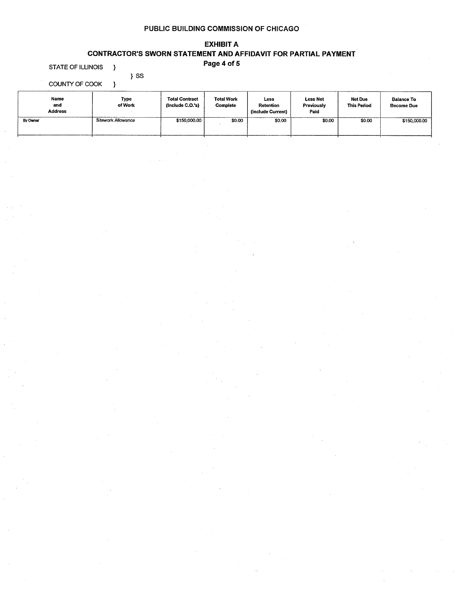# **EXHIBIT A CONTRACTOR'S SWORN STATEMENT AND AFFIDAVIT FOR PARTIAL PAYMENT**

Page 4 of 5

**STATE OF ILLINOIS**  $\rightarrow$ 

COUNTY OF COOK

 $\}$  SS  $\overline{\phantom{a}}$ 

| Name<br>and<br><b>Address</b> | Type<br>of Work    | <b>Total Contract</b><br>(include C.O.'s) | <b>Total Work</b><br>Complete | Less<br>Retention<br>(Include Current) | <b>Less Net</b><br>Previously<br>Paid | Net Due<br><b>This Period</b> | <b>Balance To</b><br><b>Become Due</b> |
|-------------------------------|--------------------|-------------------------------------------|-------------------------------|----------------------------------------|---------------------------------------|-------------------------------|----------------------------------------|
| By Owner                      | Sitework Allowance | \$150,000,00                              | \$0.00                        | \$0.00                                 | \$0.00                                | \$0.00                        | \$150,000.00                           |